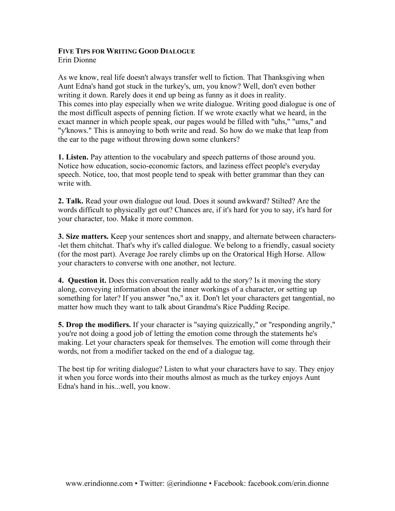# **FIVE TIPS FOR WRITING GOOD DIALOGUE**

Erin Dionne

As we know, real life doesn't always transfer well to fiction. That Thanksgiving when Aunt Edna's hand got stuck in the turkey's, um, you know? Well, don't even bother writing it down. Rarely does it end up being as funny as it does in reality. This comes into play especially when we write dialogue. Writing good dialogue is one of the most difficult aspects of penning fiction. If we wrote exactly what we heard, in the exact manner in which people speak, our pages would be filled with "uhs," "ums," and "y'knows." This is annoying to both write and read. So how do we make that leap from the ear to the page without throwing down some clunkers?

**1. Listen.** Pay attention to the vocabulary and speech patterns of those around you. Notice how education, socio-economic factors, and laziness effect people's everyday speech. Notice, too, that most people tend to speak with better grammar than they can write with.

**2. Talk.** Read your own dialogue out loud. Does it sound awkward? Stilted? Are the words difficult to physically get out? Chances are, if it's hard for you to say, it's hard for your character, too. Make it more common.

**3. Size matters.** Keep your sentences short and snappy, and alternate between characters- -let them chitchat. That's why it's called dialogue. We belong to a friendly, casual society (for the most part). Average Joe rarely climbs up on the Oratorical High Horse. Allow your characters to converse with one another, not lecture.

**4. Question it.** Does this conversation really add to the story? Is it moving the story along, conveying information about the inner workings of a character, or setting up something for later? If you answer "no," ax it. Don't let your characters get tangential, no matter how much they want to talk about Grandma's Rice Pudding Recipe.

**5. Drop the modifiers.** If your character is "saying quizzically," or "responding angrily," you're not doing a good job of letting the emotion come through the statements he's making. Let your characters speak for themselves. The emotion will come through their words, not from a modifier tacked on the end of a dialogue tag.

The best tip for writing dialogue? Listen to what your characters have to say. They enjoy it when you force words into their mouths almost as much as the turkey enjoys Aunt Edna's hand in his...well, you know.